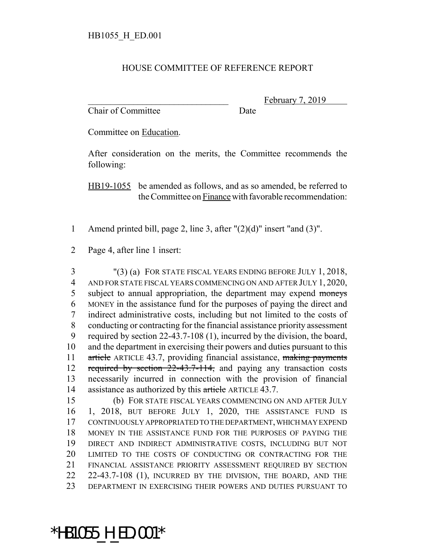## HOUSE COMMITTEE OF REFERENCE REPORT

Chair of Committee Date

February 7, 2019

Committee on Education.

After consideration on the merits, the Committee recommends the following:

HB19-1055 be amended as follows, and as so amended, be referred to the Committee on Finance with favorable recommendation:

1 Amend printed bill, page 2, line 3, after "(2)(d)" insert "and (3)".

2 Page 4, after line 1 insert:

 "(3) (a) FOR STATE FISCAL YEARS ENDING BEFORE JULY 1, 2018, AND FOR STATE FISCAL YEARS COMMENCING ON AND AFTER JULY 1, 2020, 5 subject to annual appropriation, the department may expend moneys MONEY in the assistance fund for the purposes of paying the direct and indirect administrative costs, including but not limited to the costs of conducting or contracting for the financial assistance priority assessment required by section 22-43.7-108 (1), incurred by the division, the board, and the department in exercising their powers and duties pursuant to this 11 article ARTICLE 43.7, providing financial assistance, making payments 12 required by section 22-43.7-114, and paying any transaction costs necessarily incurred in connection with the provision of financial 14 assistance as authorized by this article ARTICLE 43.7.

 (b) FOR STATE FISCAL YEARS COMMENCING ON AND AFTER JULY 1, 2018, BUT BEFORE JULY 1, 2020, THE ASSISTANCE FUND IS CONTINUOUSLY APPROPRIATED TO THE DEPARTMENT, WHICH MAY EXPEND MONEY IN THE ASSISTANCE FUND FOR THE PURPOSES OF PAYING THE DIRECT AND INDIRECT ADMINISTRATIVE COSTS, INCLUDING BUT NOT LIMITED TO THE COSTS OF CONDUCTING OR CONTRACTING FOR THE FINANCIAL ASSISTANCE PRIORITY ASSESSMENT REQUIRED BY SECTION 22 22-43.7-108 (1), INCURRED BY THE DIVISION, THE BOARD, AND THE DEPARTMENT IN EXERCISING THEIR POWERS AND DUTIES PURSUANT TO

## \*HB1055\_H\_ED.001\*